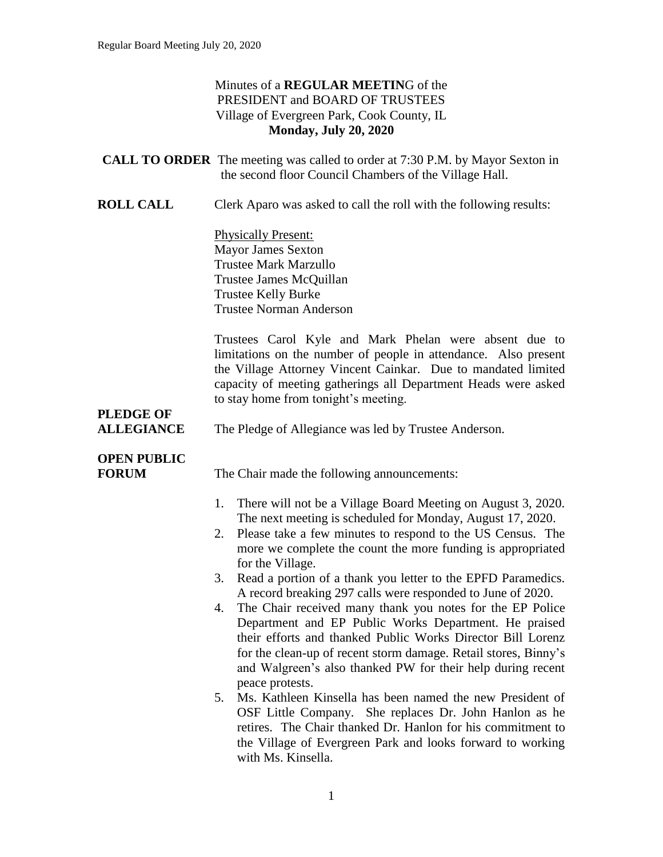#### Minutes of a **REGULAR MEETIN**G of the PRESIDENT and BOARD OF TRUSTEES Village of Evergreen Park, Cook County, IL **Monday, July 20, 2020**

|                                       | <b>CALL TO ORDER</b> The meeting was called to order at 7:30 P.M. by Mayor Sexton in<br>the second floor Council Chambers of the Village Hall.                                                                                                                                                                                               |
|---------------------------------------|----------------------------------------------------------------------------------------------------------------------------------------------------------------------------------------------------------------------------------------------------------------------------------------------------------------------------------------------|
| <b>ROLL CALL</b>                      | Clerk Aparo was asked to call the roll with the following results:                                                                                                                                                                                                                                                                           |
|                                       | <b>Physically Present:</b><br><b>Mayor James Sexton</b><br><b>Trustee Mark Marzullo</b><br>Trustee James McQuillan<br><b>Trustee Kelly Burke</b><br><b>Trustee Norman Anderson</b>                                                                                                                                                           |
|                                       | Trustees Carol Kyle and Mark Phelan were absent due to<br>limitations on the number of people in attendance. Also present<br>the Village Attorney Vincent Cainkar. Due to mandated limited<br>capacity of meeting gatherings all Department Heads were asked<br>to stay home from tonight's meeting.                                         |
| <b>PLEDGE OF</b><br><b>ALLEGIANCE</b> | The Pledge of Allegiance was led by Trustee Anderson.                                                                                                                                                                                                                                                                                        |
| <b>OPEN PUBLIC</b><br><b>FORUM</b>    | The Chair made the following announcements:                                                                                                                                                                                                                                                                                                  |
|                                       | There will not be a Village Board Meeting on August 3, 2020.<br>1.<br>The next meeting is scheduled for Monday, August 17, 2020.<br>Please take a few minutes to respond to the US Census. The<br>2.<br>more we complete the count the more funding is appropriated<br>for the Village.                                                      |
|                                       | Read a portion of a thank you letter to the EPFD Paramedics.<br>3.<br>A record breaking 297 calls were responded to June of 2020.                                                                                                                                                                                                            |
|                                       | The Chair received many thank you notes for the EP Police<br>4.<br>Department and EP Public Works Department. He praised<br>their efforts and thanked Public Works Director Bill Lorenz<br>for the clean-up of recent storm damage. Retail stores, Binny's<br>and Walgreen's also thanked PW for their help during recent<br>peace protests. |
|                                       | Ms. Kathleen Kinsella has been named the new President of<br>5.<br>OSF Little Company. She replaces Dr. John Hanlon as he<br>retires. The Chair thanked Dr. Hanlon for his commitment to<br>the Village of Evergreen Park and looks forward to working                                                                                       |

with Ms. Kinsella.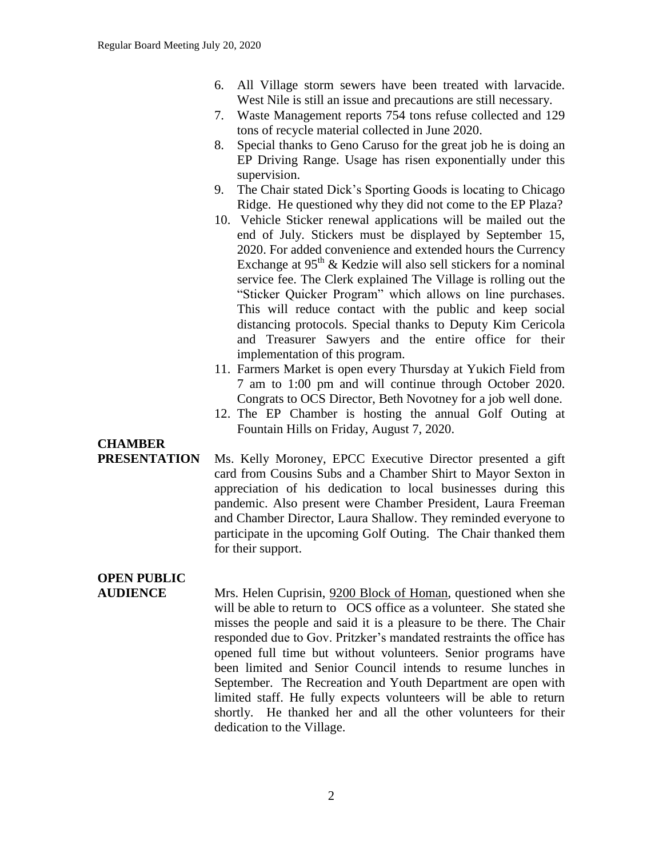- 6. All Village storm sewers have been treated with larvacide. West Nile is still an issue and precautions are still necessary.
- 7. Waste Management reports 754 tons refuse collected and 129 tons of recycle material collected in June 2020.
- 8. Special thanks to Geno Caruso for the great job he is doing an EP Driving Range. Usage has risen exponentially under this supervision.
- 9. The Chair stated Dick's Sporting Goods is locating to Chicago Ridge. He questioned why they did not come to the EP Plaza?
- 10. Vehicle Sticker renewal applications will be mailed out the end of July. Stickers must be displayed by September 15, 2020. For added convenience and extended hours the Currency Exchange at  $95<sup>th</sup>$  & Kedzie will also sell stickers for a nominal service fee. The Clerk explained The Village is rolling out the "Sticker Quicker Program" which allows on line purchases. This will reduce contact with the public and keep social distancing protocols. Special thanks to Deputy Kim Cericola and Treasurer Sawyers and the entire office for their implementation of this program.
- 11. Farmers Market is open every Thursday at Yukich Field from 7 am to 1:00 pm and will continue through October 2020. Congrats to OCS Director, Beth Novotney for a job well done.
- 12. The EP Chamber is hosting the annual Golf Outing at Fountain Hills on Friday, August 7, 2020.

### **CHAMBER**

**PRESENTATION** Ms. Kelly Moroney, EPCC Executive Director presented a gift card from Cousins Subs and a Chamber Shirt to Mayor Sexton in appreciation of his dedication to local businesses during this pandemic. Also present were Chamber President, Laura Freeman and Chamber Director, Laura Shallow. They reminded everyone to participate in the upcoming Golf Outing. The Chair thanked them for their support.

### **OPEN PUBLIC**

**AUDIENCE** Mrs. Helen Cuprisin, 9200 Block of Homan, questioned when she will be able to return to OCS office as a volunteer. She stated she misses the people and said it is a pleasure to be there. The Chair responded due to Gov. Pritzker's mandated restraints the office has opened full time but without volunteers. Senior programs have been limited and Senior Council intends to resume lunches in September. The Recreation and Youth Department are open with limited staff. He fully expects volunteers will be able to return shortly. He thanked her and all the other volunteers for their dedication to the Village.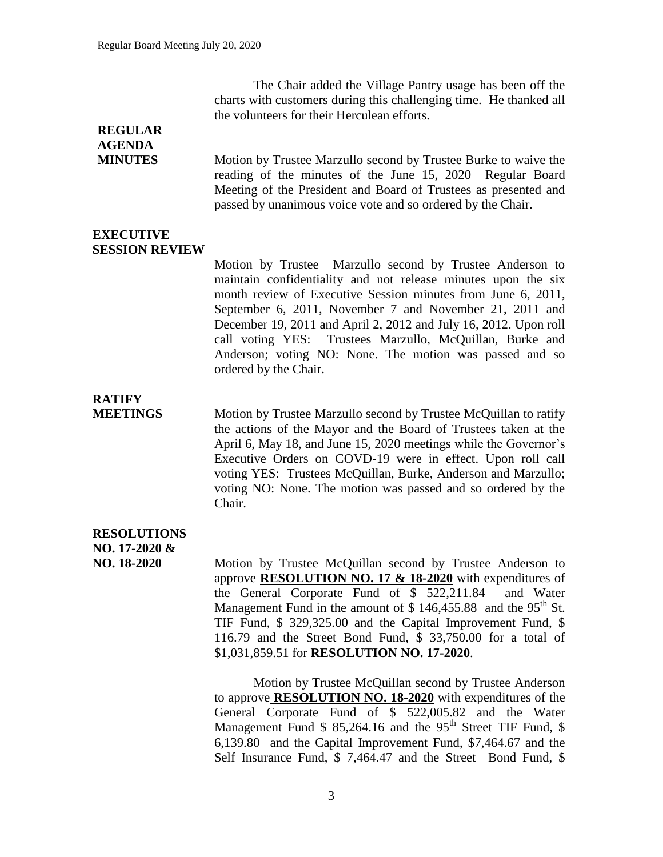The Chair added the Village Pantry usage has been off the charts with customers during this challenging time. He thanked all the volunteers for their Herculean efforts.

#### **REGULAR AGENDA**

**MINUTES** Motion by Trustee Marzullo second by Trustee Burke to waive the reading of the minutes of the June 15, 2020 Regular Board Meeting of the President and Board of Trustees as presented and passed by unanimous voice vote and so ordered by the Chair.

#### **EXECUTIVE SESSION REVIEW**

Motion by Trustee Marzullo second by Trustee Anderson to maintain confidentiality and not release minutes upon the six month review of Executive Session minutes from June 6, 2011, September 6, 2011, November 7 and November 21, 2011 and December 19, 2011 and April 2, 2012 and July 16, 2012. Upon roll call voting YES: Trustees Marzullo, McQuillan, Burke and Anderson; voting NO: None. The motion was passed and so ordered by the Chair.

# **RATIFY**

**MEETINGS** Motion by Trustee Marzullo second by Trustee McQuillan to ratify the actions of the Mayor and the Board of Trustees taken at the April 6, May 18, and June 15, 2020 meetings while the Governor's Executive Orders on COVD-19 were in effect. Upon roll call voting YES: Trustees McQuillan, Burke, Anderson and Marzullo; voting NO: None. The motion was passed and so ordered by the Chair.

#### **RESOLUTIONS**

**NO. 17-2020 &**

**NO. 18-2020** Motion by Trustee McQuillan second by Trustee Anderson to approve **RESOLUTION NO. 17 & 18-2020** with expenditures of the General Corporate Fund of \$ 522,211.84 and Water Management Fund in the amount of  $$146,455.88$  and the 95<sup>th</sup> St. TIF Fund, \$ 329,325.00 and the Capital Improvement Fund, \$ 116.79 and the Street Bond Fund, \$ 33,750.00 for a total of \$1,031,859.51 for **RESOLUTION NO. 17-2020**.

> Motion by Trustee McQuillan second by Trustee Anderson to approve **RESOLUTION NO. 18-2020** with expenditures of the General Corporate Fund of \$ 522,005.82 and the Water Management Fund  $$85,264.16$  and the  $95<sup>th</sup>$  Street TIF Fund,  $$$ 6,139.80 and the Capital Improvement Fund, \$7,464.67 and the Self Insurance Fund, \$ 7,464.47 and the Street Bond Fund, \$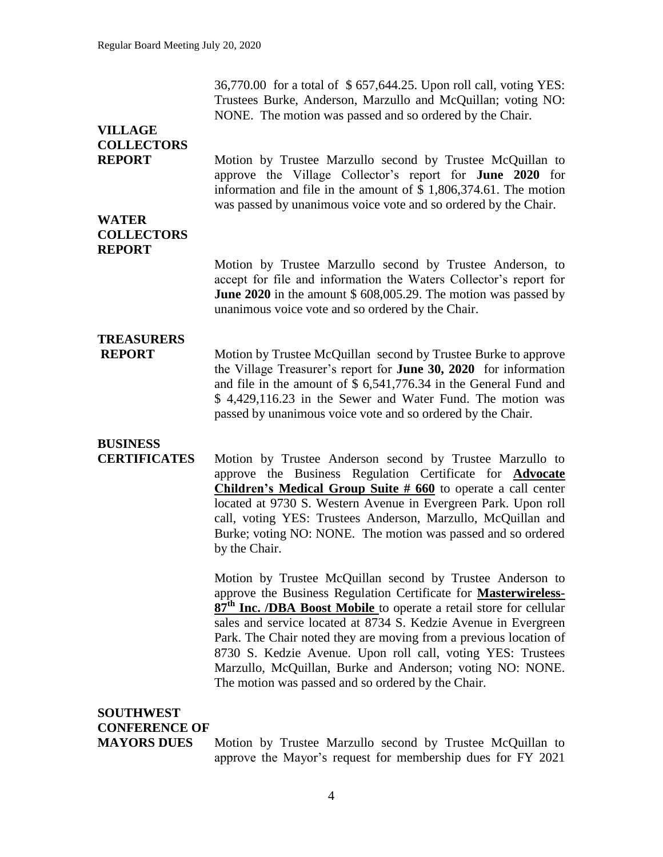36,770.00 for a total of \$ 657,644.25. Upon roll call, voting YES: Trustees Burke, Anderson, Marzullo and McQuillan; voting NO: NONE. The motion was passed and so ordered by the Chair.

### **VILLAGE COLLECTORS**

**REPORT** Motion by Trustee Marzullo second by Trustee McQuillan to approve the Village Collector's report for **June 2020** for information and file in the amount of \$ 1,806,374.61. The motion was passed by unanimous voice vote and so ordered by the Chair.

#### **WATER COLLECTORS REPORT**

Motion by Trustee Marzullo second by Trustee Anderson, to accept for file and information the Waters Collector's report for **June 2020** in the amount \$ 608,005.29. The motion was passed by unanimous voice vote and so ordered by the Chair.

# **TREASURERS**

**REPORT** Motion by Trustee McQuillan second by Trustee Burke to approve the Village Treasurer's report for **June 30, 2020** for information and file in the amount of \$ 6,541,776.34 in the General Fund and \$ 4,429,116.23 in the Sewer and Water Fund. The motion was passed by unanimous voice vote and so ordered by the Chair.

### **BUSINESS**

**CERTIFICATES** Motion by Trustee Anderson second by Trustee Marzullo to approve the Business Regulation Certificate for **Advocate Children's Medical Group Suite # 660** to operate a call center located at 9730 S. Western Avenue in Evergreen Park. Upon roll call, voting YES: Trustees Anderson, Marzullo, McQuillan and Burke; voting NO: NONE. The motion was passed and so ordered by the Chair.

> Motion by Trustee McQuillan second by Trustee Anderson to approve the Business Regulation Certificate for **Masterwireless-87th Inc. /DBA Boost Mobile** to operate a retail store for cellular sales and service located at 8734 S. Kedzie Avenue in Evergreen Park. The Chair noted they are moving from a previous location of 8730 S. Kedzie Avenue. Upon roll call, voting YES: Trustees Marzullo, McQuillan, Burke and Anderson; voting NO: NONE. The motion was passed and so ordered by the Chair.

### **SOUTHWEST CONFERENCE OF**

**MAYORS DUES** Motion by Trustee Marzullo second by Trustee McQuillan to approve the Mayor's request for membership dues for FY 2021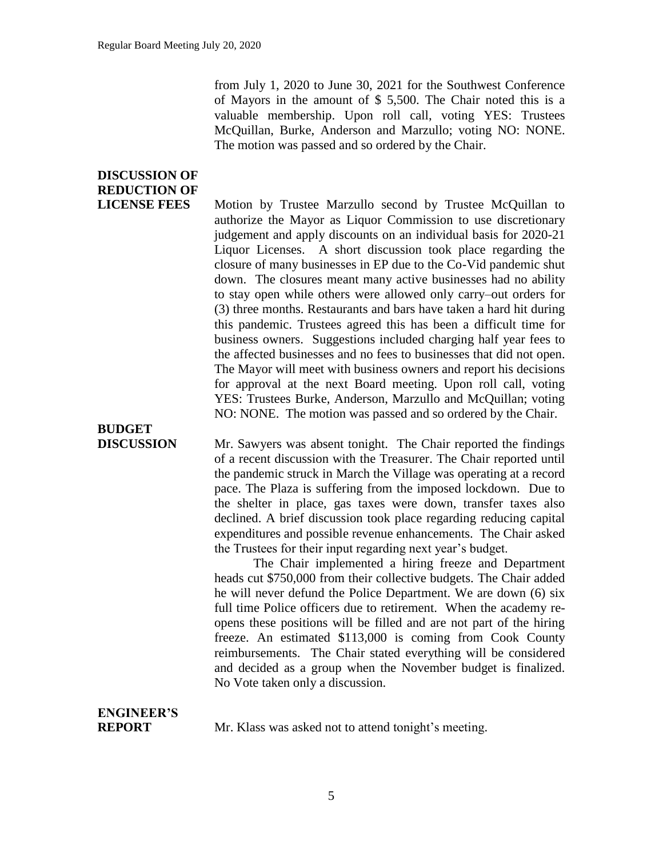from July 1, 2020 to June 30, 2021 for the Southwest Conference of Mayors in the amount of \$ 5,500. The Chair noted this is a valuable membership. Upon roll call, voting YES: Trustees McQuillan, Burke, Anderson and Marzullo; voting NO: NONE. The motion was passed and so ordered by the Chair.

### **DISCUSSION OF REDUCTION OF**

**LICENSE FEES** Motion by Trustee Marzullo second by Trustee McQuillan to authorize the Mayor as Liquor Commission to use discretionary judgement and apply discounts on an individual basis for 2020-21 Liquor Licenses. A short discussion took place regarding the closure of many businesses in EP due to the Co-Vid pandemic shut down. The closures meant many active businesses had no ability to stay open while others were allowed only carry–out orders for (3) three months. Restaurants and bars have taken a hard hit during this pandemic. Trustees agreed this has been a difficult time for business owners. Suggestions included charging half year fees to the affected businesses and no fees to businesses that did not open. The Mayor will meet with business owners and report his decisions for approval at the next Board meeting. Upon roll call, voting YES: Trustees Burke, Anderson, Marzullo and McQuillan; voting NO: NONE. The motion was passed and so ordered by the Chair.

# **BUDGET**

**DISCUSSION** Mr. Sawyers was absent tonight. The Chair reported the findings of a recent discussion with the Treasurer. The Chair reported until the pandemic struck in March the Village was operating at a record pace. The Plaza is suffering from the imposed lockdown. Due to the shelter in place, gas taxes were down, transfer taxes also declined. A brief discussion took place regarding reducing capital expenditures and possible revenue enhancements. The Chair asked the Trustees for their input regarding next year's budget.

> The Chair implemented a hiring freeze and Department heads cut \$750,000 from their collective budgets. The Chair added he will never defund the Police Department. We are down (6) six full time Police officers due to retirement. When the academy reopens these positions will be filled and are not part of the hiring freeze. An estimated \$113,000 is coming from Cook County reimbursements. The Chair stated everything will be considered and decided as a group when the November budget is finalized. No Vote taken only a discussion.

# **ENGINEER'S**

**REPORT** Mr. Klass was asked not to attend tonight's meeting.

#### 5